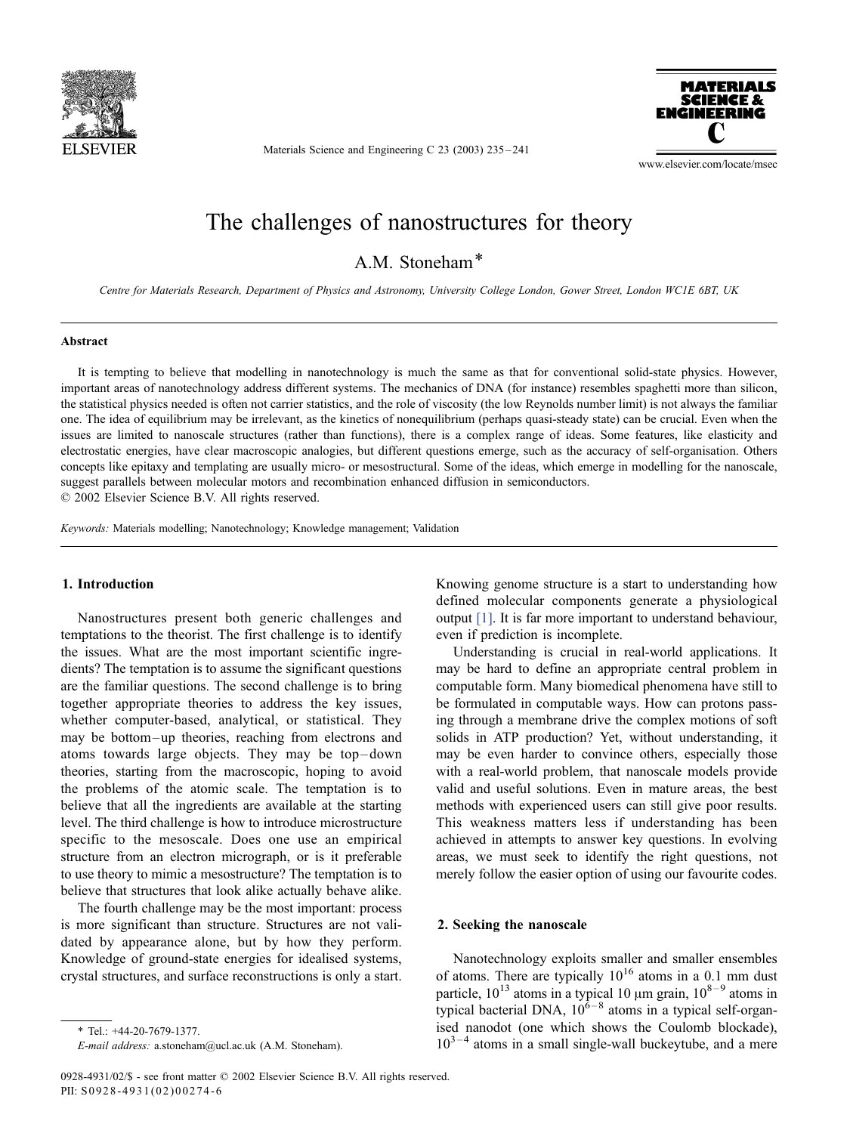

Materials Science and Engineering C 23 (2003) 235 – 241



www.elsevier.com/locate/msec

# The challenges of nanostructures for theory

A.M. Stoneham\*

Centre for Materials Research, Department of Physics and Astronomy, University College London, Gower Street, London WC1E 6BT, UK

#### Abstract

It is tempting to believe that modelling in nanotechnology is much the same as that for conventional solid-state physics. However, important areas of nanotechnology address different systems. The mechanics of DNA (for instance) resembles spaghetti more than silicon, the statistical physics needed is often not carrier statistics, and the role of viscosity (the low Reynolds number limit) is not always the familiar one. The idea of equilibrium may be irrelevant, as the kinetics of nonequilibrium (perhaps quasi-steady state) can be crucial. Even when the issues are limited to nanoscale structures (rather than functions), there is a complex range of ideas. Some features, like elasticity and electrostatic energies, have clear macroscopic analogies, but different questions emerge, such as the accuracy of self-organisation. Others concepts like epitaxy and templating are usually micro- or mesostructural. Some of the ideas, which emerge in modelling for the nanoscale, suggest parallels between molecular motors and recombination enhanced diffusion in semiconductors.  $© 2002 Elsevier Science B.V. All rights reserved.$ 

Keywords: Materials modelling; Nanotechnology; Knowledge management; Validation

# 1. Introduction

Nanostructures present both generic challenges and temptations to the theorist. The first challenge is to identify the issues. What are the most important scientific ingredients? The temptation is to assume the significant questions are the familiar questions. The second challenge is to bring together appropriate theories to address the key issues, whether computer-based, analytical, or statistical. They may be bottom-up theories, reaching from electrons and atoms towards large objects. They may be top – down theories, starting from the macroscopic, hoping to avoid the problems of the atomic scale. The temptation is to believe that all the ingredients are available at the starting level. The third challenge is how to introduce microstructure specific to the mesoscale. Does one use an empirical structure from an electron micrograph, or is it preferable to use theory to mimic a mesostructure? The temptation is to believe that structures that look alike actually behave alike.

The fourth challenge may be the most important: process is more significant than structure. Structures are not validated by appearance alone, but by how they perform. Knowledge of ground-state energies for idealised systems, crystal structures, and surface reconstructions is only a start.

Knowing genome structure is a start to understanding how defined molecular components generate a physiological output [\[1\].](#page-6-0) It is far more important to understand behaviour, even if prediction is incomplete.

Understanding is crucial in real-world applications. It may be hard to define an appropriate central problem in computable form. Many biomedical phenomena have still to be formulated in computable ways. How can protons passing through a membrane drive the complex motions of soft solids in ATP production? Yet, without understanding, it may be even harder to convince others, especially those with a real-world problem, that nanoscale models provide valid and useful solutions. Even in mature areas, the best methods with experienced users can still give poor results. This weakness matters less if understanding has been achieved in attempts to answer key questions. In evolving areas, we must seek to identify the right questions, not merely follow the easier option of using our favourite codes.

## 2. Seeking the nanoscale

Nanotechnology exploits smaller and smaller ensembles of atoms. There are typically  $10^{16}$  atoms in a 0.1 mm dust particle,  $10^{13}$  atoms in a typical 10  $\mu$ m grain,  $10^{8-9}$  atoms in typical bacterial DNA,  $10^{6-8}$  atoms in a typical self-organised nanodot (one which shows the Coulomb blockade),  $10^{3-4}$  atoms in a small single-wall buckeytube, and a mere

<sup>\*</sup> Tel.: +44-20-7679-1377.

E-mail address: a.stoneham@ucl.ac.uk (A.M. Stoneham).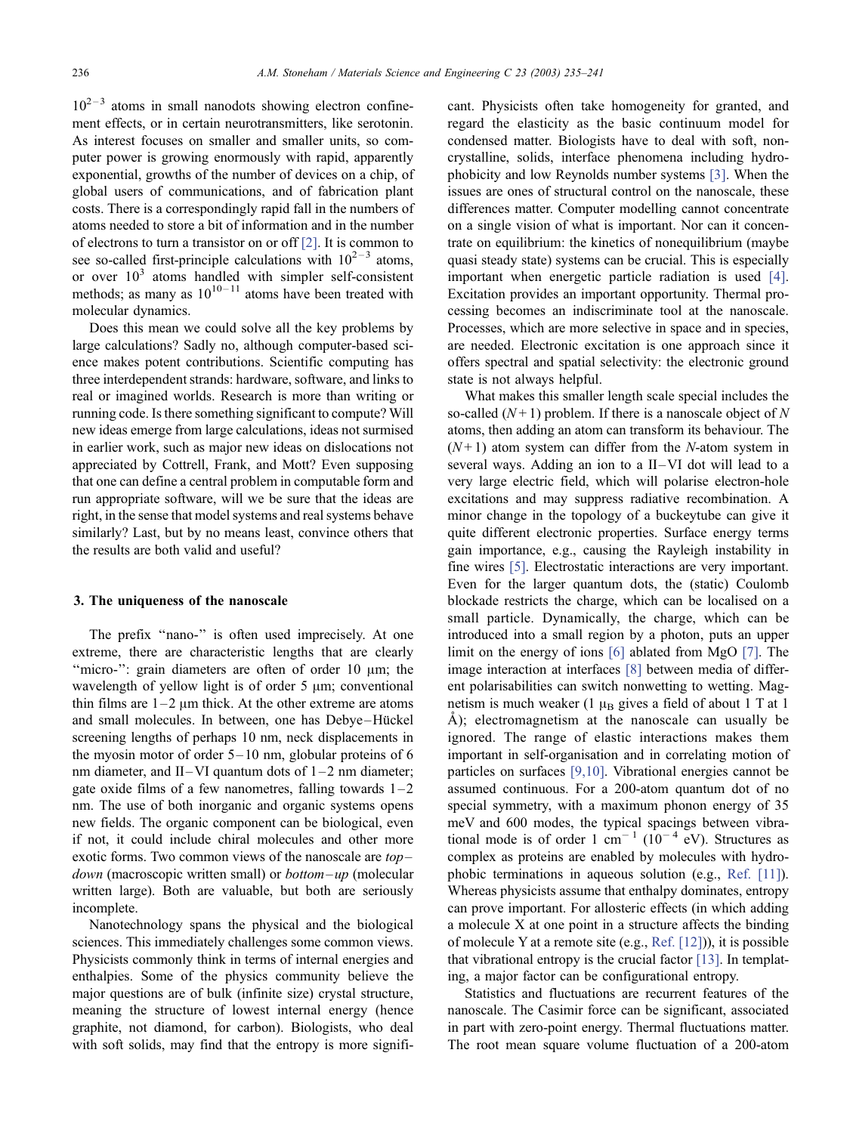$10^{2-3}$  atoms in small nanodots showing electron confinement effects, or in certain neurotransmitters, like serotonin. As interest focuses on smaller and smaller units, so computer power is growing enormously with rapid, apparently exponential, growths of the number of devices on a chip, of global users of communications, and of fabrication plant costs. There is a correspondingly rapid fall in the numbers of atoms needed to store a bit of information and in the number of electrons to turn a transistor on or off [\[2\].](#page-6-0) It is common to see so-called first-principle calculations with  $10^{2-3}$  atoms, or over  $10<sup>3</sup>$  atoms handled with simpler self-consistent methods; as many as  $10^{10-11}$  atoms have been treated with molecular dynamics.

Does this mean we could solve all the key problems by large calculations? Sadly no, although computer-based science makes potent contributions. Scientific computing has three interdependent strands: hardware, software, and links to real or imagined worlds. Research is more than writing or running code. Is there something significant to compute? Will new ideas emerge from large calculations, ideas not surmised in earlier work, such as major new ideas on dislocations not appreciated by Cottrell, Frank, and Mott? Even supposing that one can define a central problem in computable form and run appropriate software, will we be sure that the ideas are right, in the sense that model systems and real systems behave similarly? Last, but by no means least, convince others that the results are both valid and useful?

## 3. The uniqueness of the nanoscale

The prefix "nano-" is often used imprecisely. At one extreme, there are characteristic lengths that are clearly "micro-": grain diameters are often of order 10  $\mu$ m; the wavelength of yellow light is of order  $5 \mu m$ ; conventional thin films are  $1-2 \mu m$  thick. At the other extreme are atoms and small molecules. In between, one has Debye-Hückel screening lengths of perhaps 10 nm, neck displacements in the myosin motor of order  $5-10$  nm, globular proteins of 6 nm diameter, and II-VI quantum dots of  $1-2$  nm diameter; gate oxide films of a few nanometres, falling towards  $1-2$ nm. The use of both inorganic and organic systems opens new fields. The organic component can be biological, even if not, it could include chiral molecules and other more exotic forms. Two common views of the nanoscale are *top*– down (macroscopic written small) or bottom–up (molecular written large). Both are valuable, but both are seriously incomplete.

Nanotechnology spans the physical and the biological sciences. This immediately challenges some common views. Physicists commonly think in terms of internal energies and enthalpies. Some of the physics community believe the major questions are of bulk (infinite size) crystal structure, meaning the structure of lowest internal energy (hence graphite, not diamond, for carbon). Biologists, who deal with soft solids, may find that the entropy is more significant. Physicists often take homogeneity for granted, and regard the elasticity as the basic continuum model for condensed matter. Biologists have to deal with soft, noncrystalline, solids, interface phenomena including hydrophobicity and low Reynolds number systems [\[3\].](#page-6-0) When the issues are ones of structural control on the nanoscale, these differences matter. Computer modelling cannot concentrate on a single vision of what is important. Nor can it concentrate on equilibrium: the kinetics of nonequilibrium (maybe quasi steady state) systems can be crucial. This is especially important when energetic particle radiation is used [\[4\].](#page-6-0) Excitation provides an important opportunity. Thermal processing becomes an indiscriminate tool at the nanoscale. Processes, which are more selective in space and in species, are needed. Electronic excitation is one approach since it offers spectral and spatial selectivity: the electronic ground state is not always helpful.

What makes this smaller length scale special includes the so-called  $(N+1)$  problem. If there is a nanoscale object of N atoms, then adding an atom can transform its behaviour. The  $(N+1)$  atom system can differ from the N-atom system in several ways. Adding an ion to a II-VI dot will lead to a very large electric field, which will polarise electron-hole excitations and may suppress radiative recombination. A minor change in the topology of a buckeytube can give it quite different electronic properties. Surface energy terms gain importance, e.g., causing the Rayleigh instability in fine wires [\[5\].](#page-6-0) Electrostatic interactions are very important. Even for the larger quantum dots, the (static) Coulomb blockade restricts the charge, which can be localised on a small particle. Dynamically, the charge, which can be introduced into a small region by a photon, puts an upper limit on the energy of ions [\[6\]](#page-6-0) ablated from MgO [\[7\].](#page-6-0) The image interaction at interfaces [\[8\]](#page-6-0) between media of different polarisabilities can switch nonwetting to wetting. Magnetism is much weaker (1  $\mu_B$  gives a field of about 1 T at 1  $\check{A}$ ); electromagnetism at the nanoscale can usually be ignored. The range of elastic interactions makes them important in self-organisation and in correlating motion of particles on surfaces [\[9,10\].](#page-6-0) Vibrational energies cannot be assumed continuous. For a 200-atom quantum dot of no special symmetry, with a maximum phonon energy of 35 meV and 600 modes, the typical spacings between vibrational mode is of order 1 cm<sup>-1</sup> (10<sup>-4</sup> eV). Structures as complex as proteins are enabled by molecules with hydrophobic terminations in aqueous solution (e.g., [Ref. \[11\]\)](#page-6-0). Whereas physicists assume that enthalpy dominates, entropy can prove important. For allosteric effects (in which adding a molecule X at one point in a structure affects the binding of molecule Y at a remote site (e.g., [Ref. \[12\]\)](#page-6-0)), it is possible that vibrational entropy is the crucial factor [\[13\].](#page-6-0) In templating, a major factor can be configurational entropy.

Statistics and fluctuations are recurrent features of the nanoscale. The Casimir force can be significant, associated in part with zero-point energy. Thermal fluctuations matter. The root mean square volume fluctuation of a 200-atom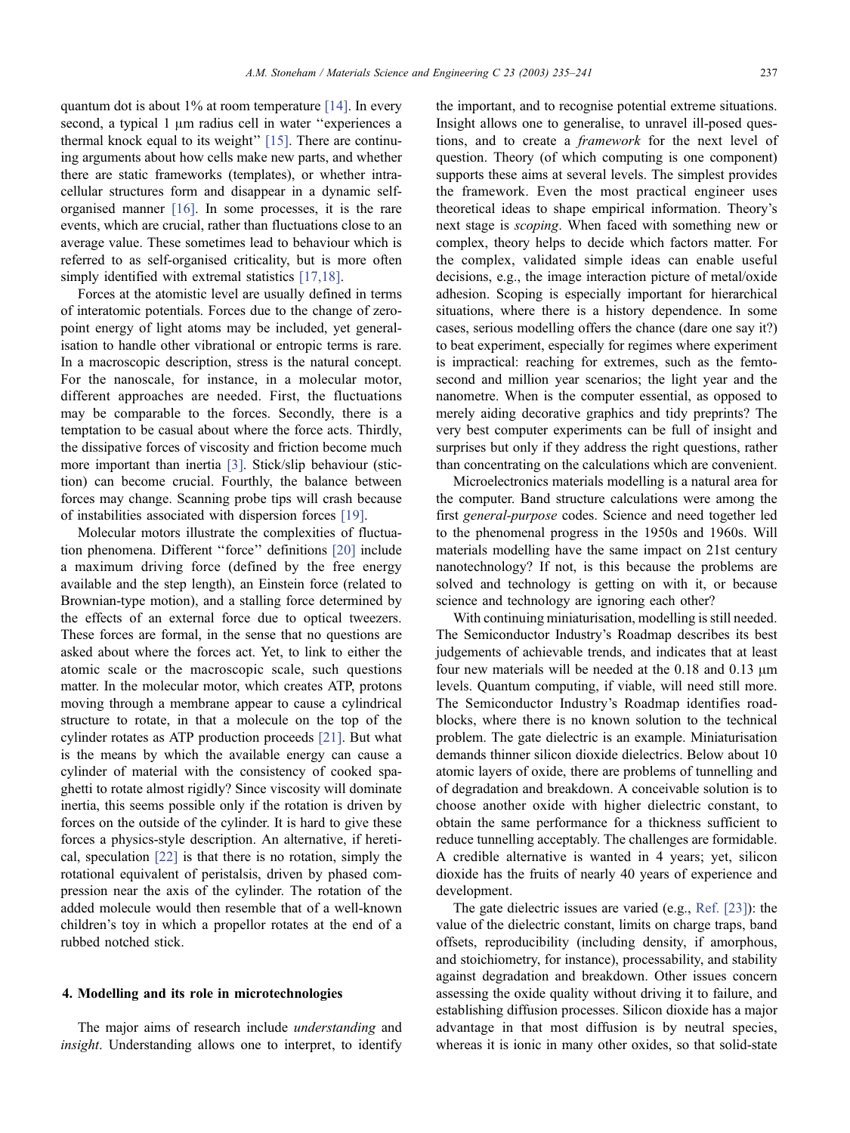quantum dot is about 1% at room temperature [\[14\].](#page-6-0) In every second, a typical 1  $\mu$ m radius cell in water "experiences a thermal knock equal to its weight'' [\[15\].](#page-6-0) There are continuing arguments about how cells make new parts, and whether there are static frameworks (templates), or whether intracellular structures form and disappear in a dynamic selforganised manner [\[16\].](#page-6-0) In some processes, it is the rare events, which are crucial, rather than fluctuations close to an average value. These sometimes lead to behaviour which is referred to as self-organised criticality, but is more often simply identified with extremal statistics [\[17,18\].](#page-6-0)

Forces at the atomistic level are usually defined in terms of interatomic potentials. Forces due to the change of zeropoint energy of light atoms may be included, yet generalisation to handle other vibrational or entropic terms is rare. In a macroscopic description, stress is the natural concept. For the nanoscale, for instance, in a molecular motor, different approaches are needed. First, the fluctuations may be comparable to the forces. Secondly, there is a temptation to be casual about where the force acts. Thirdly, the dissipative forces of viscosity and friction become much more important than inertia [\[3\].](#page-6-0) Stick/slip behaviour (stiction) can become crucial. Fourthly, the balance between forces may change. Scanning probe tips will crash because of instabilities associated with dispersion forces [\[19\].](#page-6-0)

Molecular motors illustrate the complexities of fluctuation phenomena. Different ''force'' definitions [\[20\]](#page-6-0) include a maximum driving force (defined by the free energy available and the step length), an Einstein force (related to Brownian-type motion), and a stalling force determined by the effects of an external force due to optical tweezers. These forces are formal, in the sense that no questions are asked about where the forces act. Yet, to link to either the atomic scale or the macroscopic scale, such questions matter. In the molecular motor, which creates ATP, protons moving through a membrane appear to cause a cylindrical structure to rotate, in that a molecule on the top of the cylinder rotates as ATP production proceeds [\[21\].](#page-6-0) But what is the means by which the available energy can cause a cylinder of material with the consistency of cooked spaghetti to rotate almost rigidly? Since viscosity will dominate inertia, this seems possible only if the rotation is driven by forces on the outside of the cylinder. It is hard to give these forces a physics-style description. An alternative, if heretical, speculation [\[22\]](#page-6-0) is that there is no rotation, simply the rotational equivalent of peristalsis, driven by phased compression near the axis of the cylinder. The rotation of the added molecule would then resemble that of a well-known children's toy in which a propellor rotates at the end of a rubbed notched stick.

# 4. Modelling and its role in microtechnologies

The major aims of research include *understanding* and insight. Understanding allows one to interpret, to identify

the important, and to recognise potential extreme situations. Insight allows one to generalise, to unravel ill-posed questions, and to create a framework for the next level of question. Theory (of which computing is one component) supports these aims at several levels. The simplest provides the framework. Even the most practical engineer uses theoretical ideas to shape empirical information. Theory's next stage is scoping. When faced with something new or complex, theory helps to decide which factors matter. For the complex, validated simple ideas can enable useful decisions, e.g., the image interaction picture of metal/oxide adhesion. Scoping is especially important for hierarchical situations, where there is a history dependence. In some cases, serious modelling offers the chance (dare one say it?) to beat experiment, especially for regimes where experiment is impractical: reaching for extremes, such as the femtosecond and million year scenarios; the light year and the nanometre. When is the computer essential, as opposed to merely aiding decorative graphics and tidy preprints? The very best computer experiments can be full of insight and surprises but only if they address the right questions, rather than concentrating on the calculations which are convenient.

Microelectronics materials modelling is a natural area for the computer. Band structure calculations were among the first general-purpose codes. Science and need together led to the phenomenal progress in the 1950s and 1960s. Will materials modelling have the same impact on 21st century nanotechnology? If not, is this because the problems are solved and technology is getting on with it, or because science and technology are ignoring each other?

With continuing miniaturisation, modelling is still needed. The Semiconductor Industry's Roadmap describes its best judgements of achievable trends, and indicates that at least four new materials will be needed at the  $0.18$  and  $0.13 \mu m$ levels. Quantum computing, if viable, will need still more. The Semiconductor Industry's Roadmap identifies roadblocks, where there is no known solution to the technical problem. The gate dielectric is an example. Miniaturisation demands thinner silicon dioxide dielectrics. Below about 10 atomic layers of oxide, there are problems of tunnelling and of degradation and breakdown. A conceivable solution is to choose another oxide with higher dielectric constant, to obtain the same performance for a thickness sufficient to reduce tunnelling acceptably. The challenges are formidable. A credible alternative is wanted in 4 years; yet, silicon dioxide has the fruits of nearly 40 years of experience and development.

The gate dielectric issues are varied (e.g., [Ref. \[23\]\)](#page-6-0): the value of the dielectric constant, limits on charge traps, band offsets, reproducibility (including density, if amorphous, and stoichiometry, for instance), processability, and stability against degradation and breakdown. Other issues concern assessing the oxide quality without driving it to failure, and establishing diffusion processes. Silicon dioxide has a major advantage in that most diffusion is by neutral species, whereas it is ionic in many other oxides, so that solid-state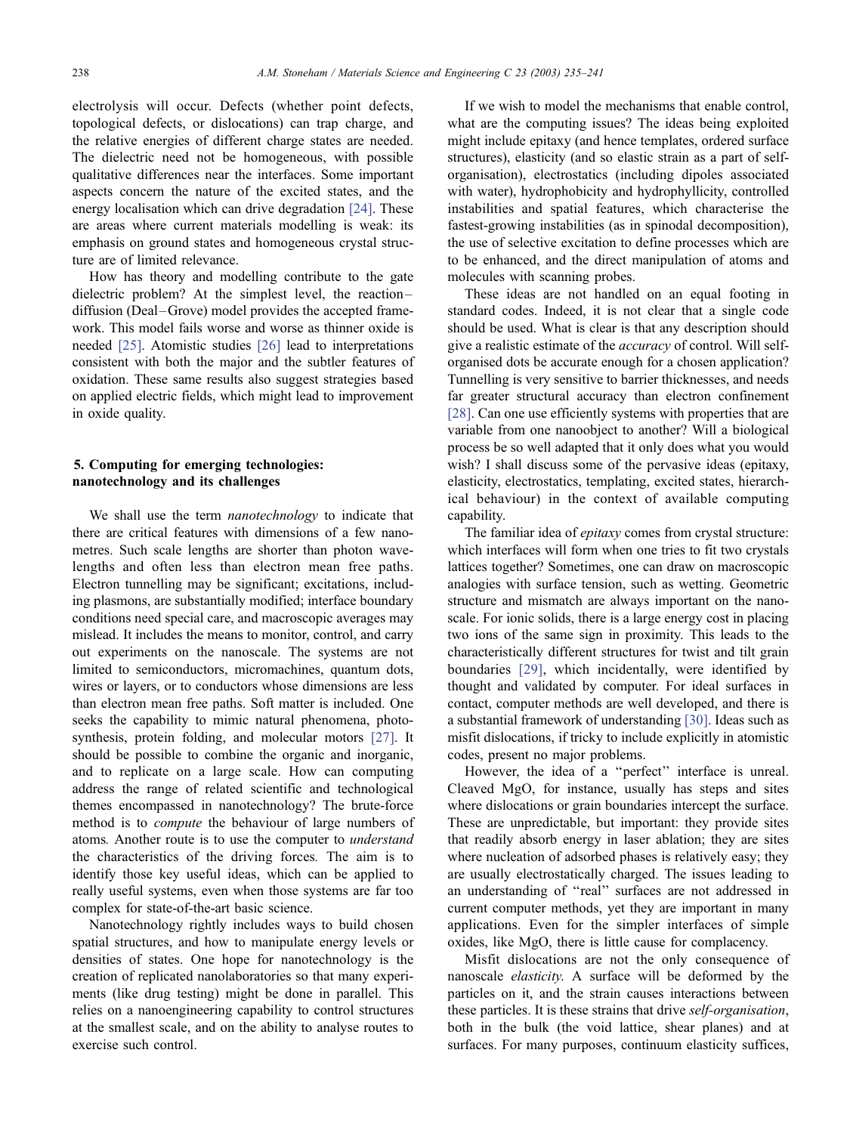electrolysis will occur. Defects (whether point defects, topological defects, or dislocations) can trap charge, and the relative energies of different charge states are needed. The dielectric need not be homogeneous, with possible qualitative differences near the interfaces. Some important aspects concern the nature of the excited states, and the energy localisation which can drive degradation [\[24\].](#page-6-0) These are areas where current materials modelling is weak: its emphasis on ground states and homogeneous crystal structure are of limited relevance.

How has theory and modelling contribute to the gate dielectric problem? At the simplest level, the reactiondiffusion (Deal-Grove) model provides the accepted framework. This model fails worse and worse as thinner oxide is needed [\[25\].](#page-6-0) Atomistic studies [\[26\]](#page-6-0) lead to interpretations consistent with both the major and the subtler features of oxidation. These same results also suggest strategies based on applied electric fields, which might lead to improvement in oxide quality.

# 5. Computing for emerging technologies: nanotechnology and its challenges

We shall use the term *nanotechnology* to indicate that there are critical features with dimensions of a few nanometres. Such scale lengths are shorter than photon wavelengths and often less than electron mean free paths. Electron tunnelling may be significant; excitations, including plasmons, are substantially modified; interface boundary conditions need special care, and macroscopic averages may mislead. It includes the means to monitor, control, and carry out experiments on the nanoscale. The systems are not limited to semiconductors, micromachines, quantum dots, wires or layers, or to conductors whose dimensions are less than electron mean free paths. Soft matter is included. One seeks the capability to mimic natural phenomena, photosynthesis, protein folding, and molecular motors [\[27\].](#page-6-0) It should be possible to combine the organic and inorganic, and to replicate on a large scale. How can computing address the range of related scientific and technological themes encompassed in nanotechnology? The brute-force method is to compute the behaviour of large numbers of atoms. Another route is to use the computer to understand the characteristics of the driving forces. The aim is to identify those key useful ideas, which can be applied to really useful systems, even when those systems are far too complex for state-of-the-art basic science.

Nanotechnology rightly includes ways to build chosen spatial structures, and how to manipulate energy levels or densities of states. One hope for nanotechnology is the creation of replicated nanolaboratories so that many experiments (like drug testing) might be done in parallel. This relies on a nanoengineering capability to control structures at the smallest scale, and on the ability to analyse routes to exercise such control.

If we wish to model the mechanisms that enable control, what are the computing issues? The ideas being exploited might include epitaxy (and hence templates, ordered surface structures), elasticity (and so elastic strain as a part of selforganisation), electrostatics (including dipoles associated with water), hydrophobicity and hydrophyllicity, controlled instabilities and spatial features, which characterise the fastest-growing instabilities (as in spinodal decomposition), the use of selective excitation to define processes which are to be enhanced, and the direct manipulation of atoms and molecules with scanning probes.

These ideas are not handled on an equal footing in standard codes. Indeed, it is not clear that a single code should be used. What is clear is that any description should give a realistic estimate of the accuracy of control. Will selforganised dots be accurate enough for a chosen application? Tunnelling is very sensitive to barrier thicknesses, and needs far greater structural accuracy than electron confinement [\[28\].](#page-6-0) Can one use efficiently systems with properties that are variable from one nanoobject to another? Will a biological process be so well adapted that it only does what you would wish? I shall discuss some of the pervasive ideas (epitaxy, elasticity, electrostatics, templating, excited states, hierarchical behaviour) in the context of available computing capability.

The familiar idea of *epitaxy* comes from crystal structure: which interfaces will form when one tries to fit two crystals lattices together? Sometimes, one can draw on macroscopic analogies with surface tension, such as wetting. Geometric structure and mismatch are always important on the nanoscale. For ionic solids, there is a large energy cost in placing two ions of the same sign in proximity. This leads to the characteristically different structures for twist and tilt grain boundaries [\[29\],](#page-6-0) which incidentally, were identified by thought and validated by computer. For ideal surfaces in contact, computer methods are well developed, and there is a substantial framework of understanding [\[30\].](#page-6-0) Ideas such as misfit dislocations, if tricky to include explicitly in atomistic codes, present no major problems.

However, the idea of a ''perfect'' interface is unreal. Cleaved MgO, for instance, usually has steps and sites where dislocations or grain boundaries intercept the surface. These are unpredictable, but important: they provide sites that readily absorb energy in laser ablation; they are sites where nucleation of adsorbed phases is relatively easy; they are usually electrostatically charged. The issues leading to an understanding of ''real'' surfaces are not addressed in current computer methods, yet they are important in many applications. Even for the simpler interfaces of simple oxides, like MgO, there is little cause for complacency.

Misfit dislocations are not the only consequence of nanoscale elasticity. A surface will be deformed by the particles on it, and the strain causes interactions between these particles. It is these strains that drive self-organisation, both in the bulk (the void lattice, shear planes) and at surfaces. For many purposes, continuum elasticity suffices,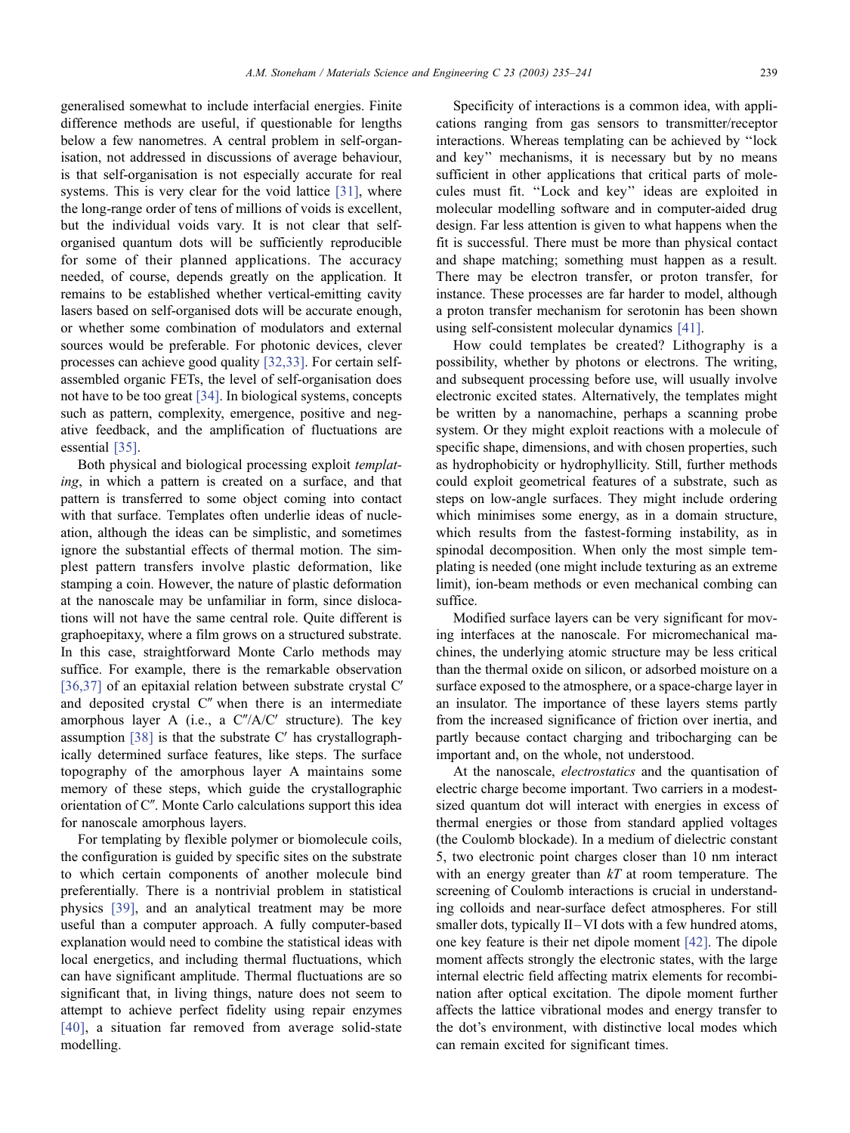generalised somewhat to include interfacial energies. Finite difference methods are useful, if questionable for lengths below a few nanometres. A central problem in self-organisation, not addressed in discussions of average behaviour, is that self-organisation is not especially accurate for real systems. This is very clear for the void lattice [\[31\],](#page-6-0) where the long-range order of tens of millions of voids is excellent, but the individual voids vary. It is not clear that selforganised quantum dots will be sufficiently reproducible for some of their planned applications. The accuracy needed, of course, depends greatly on the application. It remains to be established whether vertical-emitting cavity lasers based on self-organised dots will be accurate enough, or whether some combination of modulators and external sources would be preferable. For photonic devices, clever processes can achieve good quality [\[32,33\].](#page-6-0) For certain selfassembled organic FETs, the level of self-organisation does not have to be too great [\[34\].](#page-6-0) In biological systems, concepts such as pattern, complexity, emergence, positive and negative feedback, and the amplification of fluctuations are essential [\[35\].](#page-6-0)

Both physical and biological processing exploit templating, in which a pattern is created on a surface, and that pattern is transferred to some object coming into contact with that surface. Templates often underlie ideas of nucleation, although the ideas can be simplistic, and sometimes ignore the substantial effects of thermal motion. The simplest pattern transfers involve plastic deformation, like stamping a coin. However, the nature of plastic deformation at the nanoscale may be unfamiliar in form, since dislocations will not have the same central role. Quite different is graphoepitaxy, where a film grows on a structured substrate. In this case, straightforward Monte Carlo methods may suffice. For example, there is the remarkable observation [\[36,37\]](#page-6-0) of an epitaxial relation between substrate crystal  $C'$ and deposited crystal  $C''$  when there is an intermediate amorphous layer A (i.e., a  $C''/A/C'$  structure). The key assumption  $[38]$  is that the substrate C' has crystallographically determined surface features, like steps. The surface topography of the amorphous layer A maintains some memory of these steps, which guide the crystallographic orientation of  $C''$ . Monte Carlo calculations support this idea for nanoscale amorphous layers.

For templating by flexible polymer or biomolecule coils, the configuration is guided by specific sites on the substrate to which certain components of another molecule bind preferentially. There is a nontrivial problem in statistical physics [\[39\],](#page-6-0) and an analytical treatment may be more useful than a computer approach. A fully computer-based explanation would need to combine the statistical ideas with local energetics, and including thermal fluctuations, which can have significant amplitude. Thermal fluctuations are so significant that, in living things, nature does not seem to attempt to achieve perfect fidelity using repair enzymes [\[40\],](#page-6-0) a situation far removed from average solid-state modelling.

Specificity of interactions is a common idea, with applications ranging from gas sensors to transmitter/receptor interactions. Whereas templating can be achieved by ''lock and key'' mechanisms, it is necessary but by no means sufficient in other applications that critical parts of molecules must fit. ''Lock and key'' ideas are exploited in molecular modelling software and in computer-aided drug design. Far less attention is given to what happens when the fit is successful. There must be more than physical contact and shape matching; something must happen as a result. There may be electron transfer, or proton transfer, for instance. These processes are far harder to model, although a proton transfer mechanism for serotonin has been shown using self-consistent molecular dynamics [\[41\].](#page-6-0)

How could templates be created? Lithography is a possibility, whether by photons or electrons. The writing, and subsequent processing before use, will usually involve electronic excited states. Alternatively, the templates might be written by a nanomachine, perhaps a scanning probe system. Or they might exploit reactions with a molecule of specific shape, dimensions, and with chosen properties, such as hydrophobicity or hydrophyllicity. Still, further methods could exploit geometrical features of a substrate, such as steps on low-angle surfaces. They might include ordering which minimises some energy, as in a domain structure, which results from the fastest-forming instability, as in spinodal decomposition. When only the most simple templating is needed (one might include texturing as an extreme limit), ion-beam methods or even mechanical combing can suffice.

Modified surface layers can be very significant for moving interfaces at the nanoscale. For micromechanical machines, the underlying atomic structure may be less critical than the thermal oxide on silicon, or adsorbed moisture on a surface exposed to the atmosphere, or a space-charge layer in an insulator. The importance of these layers stems partly from the increased significance of friction over inertia, and partly because contact charging and tribocharging can be important and, on the whole, not understood.

At the nanoscale, *electrostatics* and the quantisation of electric charge become important. Two carriers in a modestsized quantum dot will interact with energies in excess of thermal energies or those from standard applied voltages (the Coulomb blockade). In a medium of dielectric constant 5, two electronic point charges closer than 10 nm interact with an energy greater than  $kT$  at room temperature. The screening of Coulomb interactions is crucial in understanding colloids and near-surface defect atmospheres. For still smaller dots, typically II–VI dots with a few hundred atoms, one key feature is their net dipole moment [\[42\].](#page-6-0) The dipole moment affects strongly the electronic states, with the large internal electric field affecting matrix elements for recombination after optical excitation. The dipole moment further affects the lattice vibrational modes and energy transfer to the dot's environment, with distinctive local modes which can remain excited for significant times.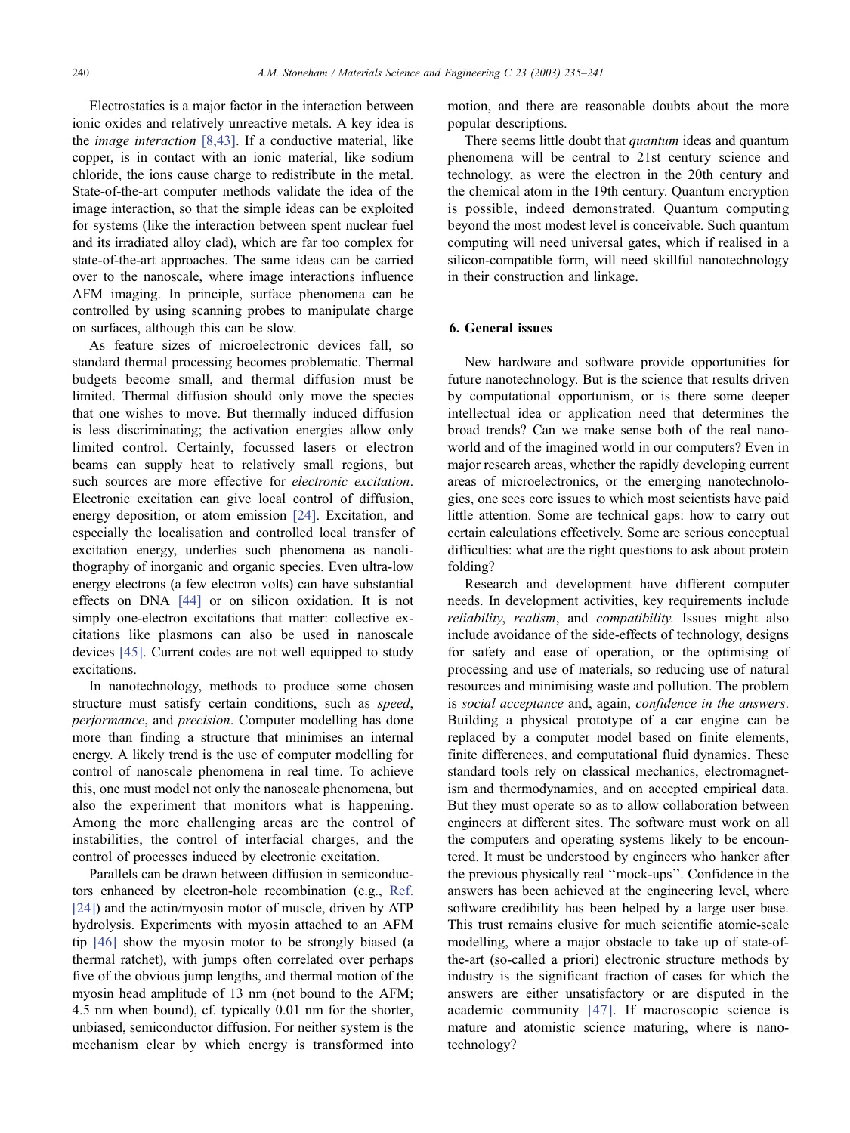Electrostatics is a major factor in the interaction between ionic oxides and relatively unreactive metals. A key idea is the image interaction [\[8,43\].](#page-6-0) If a conductive material, like copper, is in contact with an ionic material, like sodium chloride, the ions cause charge to redistribute in the metal. State-of-the-art computer methods validate the idea of the image interaction, so that the simple ideas can be exploited for systems (like the interaction between spent nuclear fuel and its irradiated alloy clad), which are far too complex for state-of-the-art approaches. The same ideas can be carried over to the nanoscale, where image interactions influence AFM imaging. In principle, surface phenomena can be controlled by using scanning probes to manipulate charge on surfaces, although this can be slow.

As feature sizes of microelectronic devices fall, so standard thermal processing becomes problematic. Thermal budgets become small, and thermal diffusion must be limited. Thermal diffusion should only move the species that one wishes to move. But thermally induced diffusion is less discriminating; the activation energies allow only limited control. Certainly, focussed lasers or electron beams can supply heat to relatively small regions, but such sources are more effective for electronic excitation. Electronic excitation can give local control of diffusion, energy deposition, or atom emission [\[24\].](#page-6-0) Excitation, and especially the localisation and controlled local transfer of excitation energy, underlies such phenomena as nanolithography of inorganic and organic species. Even ultra-low energy electrons (a few electron volts) can have substantial effects on DNA [\[44\]](#page-6-0) or on silicon oxidation. It is not simply one-electron excitations that matter: collective excitations like plasmons can also be used in nanoscale devices [\[45\]](#page-6-0). Current codes are not well equipped to study excitations.

In nanotechnology, methods to produce some chosen structure must satisfy certain conditions, such as speed, performance, and precision. Computer modelling has done more than finding a structure that minimises an internal energy. A likely trend is the use of computer modelling for control of nanoscale phenomena in real time. To achieve this, one must model not only the nanoscale phenomena, but also the experiment that monitors what is happening. Among the more challenging areas are the control of instabilities, the control of interfacial charges, and the control of processes induced by electronic excitation.

Parallels can be drawn between diffusion in semiconductors enhanced by electron-hole recombination (e.g., [Ref.](#page-6-0) [24]) and the actin/myosin motor of muscle, driven by ATP hydrolysis. Experiments with myosin attached to an AFM tip [\[46\]](#page-6-0) show the myosin motor to be strongly biased (a thermal ratchet), with jumps often correlated over perhaps five of the obvious jump lengths, and thermal motion of the myosin head amplitude of 13 nm (not bound to the AFM; 4.5 nm when bound), cf. typically 0.01 nm for the shorter, unbiased, semiconductor diffusion. For neither system is the mechanism clear by which energy is transformed into

motion, and there are reasonable doubts about the more popular descriptions.

There seems little doubt that *quantum* ideas and quantum phenomena will be central to 21st century science and technology, as were the electron in the 20th century and the chemical atom in the 19th century. Quantum encryption is possible, indeed demonstrated. Quantum computing beyond the most modest level is conceivable. Such quantum computing will need universal gates, which if realised in a silicon-compatible form, will need skillful nanotechnology in their construction and linkage.

# 6. General issues

New hardware and software provide opportunities for future nanotechnology. But is the science that results driven by computational opportunism, or is there some deeper intellectual idea or application need that determines the broad trends? Can we make sense both of the real nanoworld and of the imagined world in our computers? Even in major research areas, whether the rapidly developing current areas of microelectronics, or the emerging nanotechnologies, one sees core issues to which most scientists have paid little attention. Some are technical gaps: how to carry out certain calculations effectively. Some are serious conceptual difficulties: what are the right questions to ask about protein folding?

Research and development have different computer needs. In development activities, key requirements include reliability, realism, and compatibility. Issues might also include avoidance of the side-effects of technology, designs for safety and ease of operation, or the optimising of processing and use of materials, so reducing use of natural resources and minimising waste and pollution. The problem is social acceptance and, again, confidence in the answers. Building a physical prototype of a car engine can be replaced by a computer model based on finite elements, finite differences, and computational fluid dynamics. These standard tools rely on classical mechanics, electromagnetism and thermodynamics, and on accepted empirical data. But they must operate so as to allow collaboration between engineers at different sites. The software must work on all the computers and operating systems likely to be encountered. It must be understood by engineers who hanker after the previous physically real ''mock-ups''. Confidence in the answers has been achieved at the engineering level, where software credibility has been helped by a large user base. This trust remains elusive for much scientific atomic-scale modelling, where a major obstacle to take up of state-ofthe-art (so-called a priori) electronic structure methods by industry is the significant fraction of cases for which the answers are either unsatisfactory or are disputed in the academic community [\[47\].](#page-6-0) If macroscopic science is mature and atomistic science maturing, where is nanotechnology?